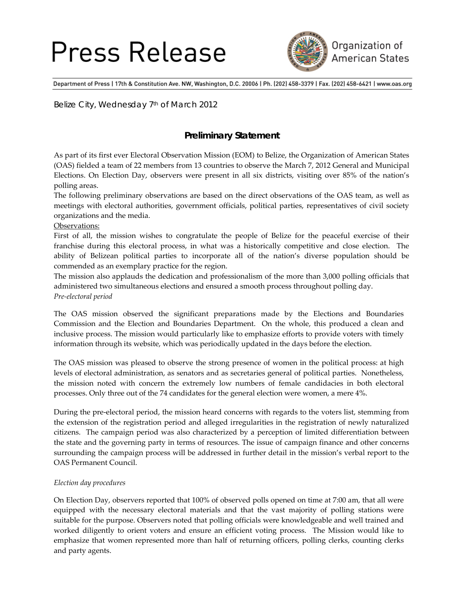# Press Release



Department of Press | 17th & Constitution Ave. NW, Washington, D.C. 20006 | Ph. (202) 458-3379 | Fax. (202) 458-6421 | www.oas.org

Belize City, Wednesday 7<sup>th</sup> of March 2012

### **Preliminary Statement**

As part of its first ever Electoral Observation Mission (EOM) to Belize, the Organization of American States (OAS) fielded a team of 22 members from 13 countries to observe the March 7, 2012 General and Municipal Elections. On Election Day, observers were present in all six districts, visiting over 85% of the nation's polling areas.

The following preliminary observations are based on the direct observations of the OAS team, as well as meetings with electoral authorities, government officials, political parties, representatives of civil society organizations and the media.

#### Observations:

First of all, the mission wishes to congratulate the people of Belize for the peaceful exercise of their franchise during this electoral process, in what was a historically competitive and close election. The ability of Belizean political parties to incorporate all of the nation's diverse population should be commended as an exemplary practice for the region.

The mission also applauds the dedication and professionalism of the more than 3,000 polling officials that administered two simultaneous elections and ensured a smooth process throughout polling day. *Pre‐electoral period*

The OAS mission observed the significant preparations made by the Elections and Boundaries Commission and the Election and Boundaries Department. On the whole, this produced a clean and inclusive process. The mission would particularly like to emphasize efforts to provide voters with timely information through its website, which was periodically updated in the days before the election.

The OAS mission was pleased to observe the strong presence of women in the political process: at high levels of electoral administration, as senators and as secretaries general of political parties. Nonetheless, the mission noted with concern the extremely low numbers of female candidacies in both electoral processes. Only three out of the 74 candidates for the general election were women, a mere 4%.

During the pre‐electoral period, the mission heard concerns with regards to the voters list, stemming from the extension of the registration period and alleged irregularities in the registration of newly naturalized citizens. The campaign period was also characterized by a perception of limited differentiation between the state and the governing party in terms of resources. The issue of campaign finance and other concerns surrounding the campaign process will be addressed in further detail in the mission's verbal report to the OAS Permanent Council.

#### *Election day procedures*

On Election Day, observers reported that 100% of observed polls opened on time at 7:00 am, that all were equipped with the necessary electoral materials and that the vast majority of polling stations were suitable for the purpose. Observers noted that polling officials were knowledgeable and well trained and worked diligently to orient voters and ensure an efficient voting process. The Mission would like to emphasize that women represented more than half of returning officers, polling clerks, counting clerks and party agents.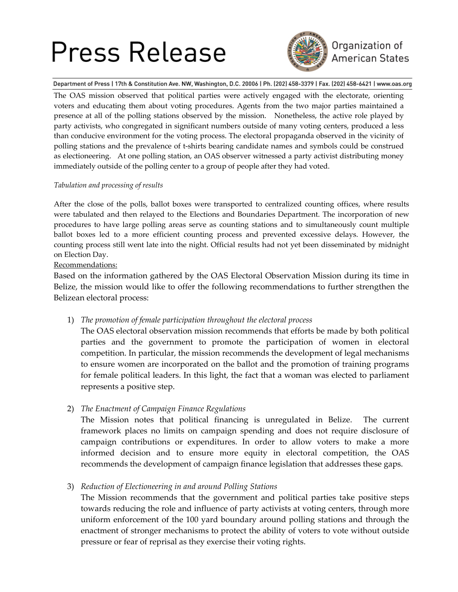# Press Release



### Organization of **American States**

Department of Press | 17th & Constitution Ave. NW, Washington, D.C. 20006 | Ph. (202) 458-3379 | Fax. (202) 458-6421 | www.oas.org

The OAS mission observed that political parties were actively engaged with the electorate, orienting voters and educating them about voting procedures. Agents from the two major parties maintained a presence at all of the polling stations observed by the mission. Nonetheless, the active role played by party activists, who congregated in significant numbers outside of many voting centers, produced a less than conducive environment for the voting process. The electoral propaganda observed in the vicinity of polling stations and the prevalence of t‐shirts bearing candidate names and symbols could be construed as electioneering. At one polling station, an OAS observer witnessed a party activist distributing money immediately outside of the polling center to a group of people after they had voted.

#### *Tabulation and processing of results*

After the close of the polls, ballot boxes were transported to centralized counting offices, where results were tabulated and then relayed to the Elections and Boundaries Department. The incorporation of new procedures to have large polling areas serve as counting stations and to simultaneously count multiple ballot boxes led to a more efficient counting process and prevented excessive delays. However, the counting process still went late into the night. Official results had not yet been disseminated by midnight on Election Day.

Recommendations:

Based on the information gathered by the OAS Electoral Observation Mission during its time in Belize, the mission would like to offer the following recommendations to further strengthen the Belizean electoral process:

1) *The promotion of female participation throughout the electoral process*

The OAS electoral observation mission recommends that efforts be made by both political parties and the government to promote the participation of women in electoral competition. In particular, the mission recommends the development of legal mechanisms to ensure women are incorporated on the ballot and the promotion of training programs for female political leaders. In this light, the fact that a woman was elected to parliament represents a positive step.

### 2) *The Enactment of Campaign Finance Regulations*

The Mission notes that political financing is unregulated in Belize. The current framework places no limits on campaign spending and does not require disclosure of campaign contributions or expenditures. In order to allow voters to make a more informed decision and to ensure more equity in electoral competition, the OAS recommends the development of campaign finance legislation that addresses these gaps.

3) *Reduction of Electioneering in and around Polling Stations*

The Mission recommends that the government and political parties take positive steps towards reducing the role and influence of party activists at voting centers, through more uniform enforcement of the 100 yard boundary around polling stations and through the enactment of stronger mechanisms to protect the ability of voters to vote without outside pressure or fear of reprisal as they exercise their voting rights.